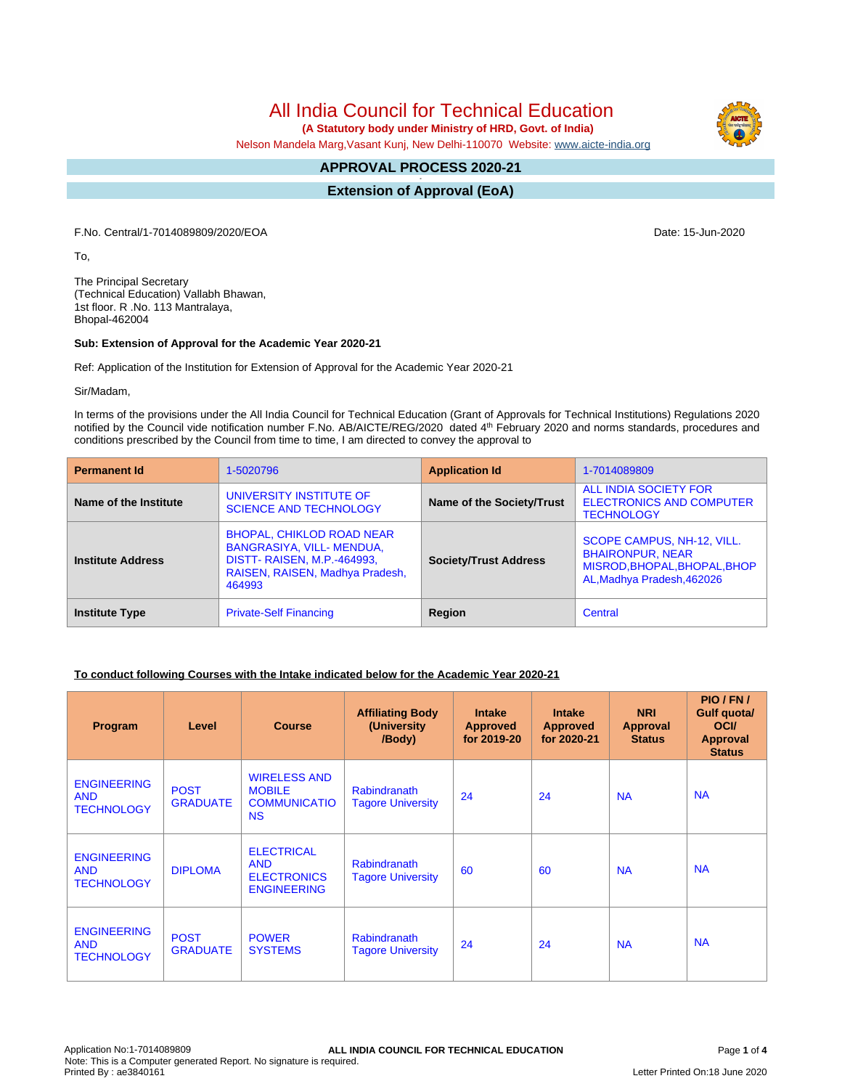All India Council for Technical Education

 **(A Statutory body under Ministry of HRD, Govt. of India)**

Nelson Mandela Marg,Vasant Kunj, New Delhi-110070 Website: [www.aicte-india.org](http://www.aicte-india.org)

#### **APPROVAL PROCESS 2020-21 -**

**Extension of Approval (EoA)**

F.No. Central/1-7014089809/2020/EOA Date: 15-Jun-2020

To,

The Principal Secretary (Technical Education) Vallabh Bhawan, 1st floor. R .No. 113 Mantralaya, Bhopal-462004

#### **Sub: Extension of Approval for the Academic Year 2020-21**

Ref: Application of the Institution for Extension of Approval for the Academic Year 2020-21

Sir/Madam,

In terms of the provisions under the All India Council for Technical Education (Grant of Approvals for Technical Institutions) Regulations 2020 notified by the Council vide notification number F.No. AB/AICTE/REG/2020 dated 4<sup>th</sup> February 2020 and norms standards, procedures and conditions prescribed by the Council from time to time, I am directed to convey the approval to

| <b>Permanent Id</b>      | 1-5020796                                                                                                                                       | <b>Application Id</b>        | 1-7014089809                                                                                                        |  |
|--------------------------|-------------------------------------------------------------------------------------------------------------------------------------------------|------------------------------|---------------------------------------------------------------------------------------------------------------------|--|
| Name of the Institute    | UNIVERSITY INSTITUTE OF<br><b>SCIENCE AND TECHNOLOGY</b>                                                                                        | Name of the Society/Trust    | ALL INDIA SOCIETY FOR<br><b>ELECTRONICS AND COMPUTER</b><br><b>TECHNOLOGY</b>                                       |  |
| <b>Institute Address</b> | <b>BHOPAL, CHIKLOD ROAD NEAR</b><br>BANGRASIYA, VILL-MENDUA,<br><b>DISTT- RAISEN, M.P.-464993,</b><br>RAISEN, RAISEN, Madhya Pradesh,<br>464993 | <b>Society/Trust Address</b> | SCOPE CAMPUS, NH-12, VILL.<br><b>BHAIRONPUR, NEAR</b><br>MISROD, BHOPAL, BHOPAL, BHOP<br>AL, Madhya Pradesh, 462026 |  |
| <b>Institute Type</b>    | <b>Private-Self Financing</b>                                                                                                                   | Region                       | Central                                                                                                             |  |

## **To conduct following Courses with the Intake indicated below for the Academic Year 2020-21**

| Program                                               | Level                          | <b>Course</b>                                                               | <b>Affiliating Body</b><br>(University)<br>/Body) | <b>Intake</b><br><b>Approved</b><br>for 2019-20 | <b>Intake</b><br><b>Approved</b><br>for 2020-21 | <b>NRI</b><br>Approval<br><b>Status</b> | PIO/FN/<br>Gulf quota/<br><b>OCI</b><br><b>Approval</b><br><b>Status</b> |
|-------------------------------------------------------|--------------------------------|-----------------------------------------------------------------------------|---------------------------------------------------|-------------------------------------------------|-------------------------------------------------|-----------------------------------------|--------------------------------------------------------------------------|
| <b>ENGINEERING</b><br><b>AND</b><br><b>TECHNOLOGY</b> | <b>POST</b><br><b>GRADUATE</b> | <b>WIRELESS AND</b><br><b>MOBILE</b><br><b>COMMUNICATIO</b><br><b>NS</b>    | <b>Rabindranath</b><br><b>Tagore University</b>   | 24                                              | 24                                              | <b>NA</b>                               | <b>NA</b>                                                                |
| <b>ENGINEERING</b><br><b>AND</b><br><b>TECHNOLOGY</b> | <b>DIPLOMA</b>                 | <b>ELECTRICAL</b><br><b>AND</b><br><b>ELECTRONICS</b><br><b>ENGINEERING</b> | <b>Rabindranath</b><br><b>Tagore University</b>   | 60                                              | 60                                              | <b>NA</b>                               | <b>NA</b>                                                                |
| <b>ENGINEERING</b><br><b>AND</b><br><b>TECHNOLOGY</b> | <b>POST</b><br><b>GRADUATE</b> | <b>POWER</b><br><b>SYSTEMS</b>                                              | <b>Rabindranath</b><br><b>Tagore University</b>   | 24                                              | 24                                              | <b>NA</b>                               | <b>NA</b>                                                                |

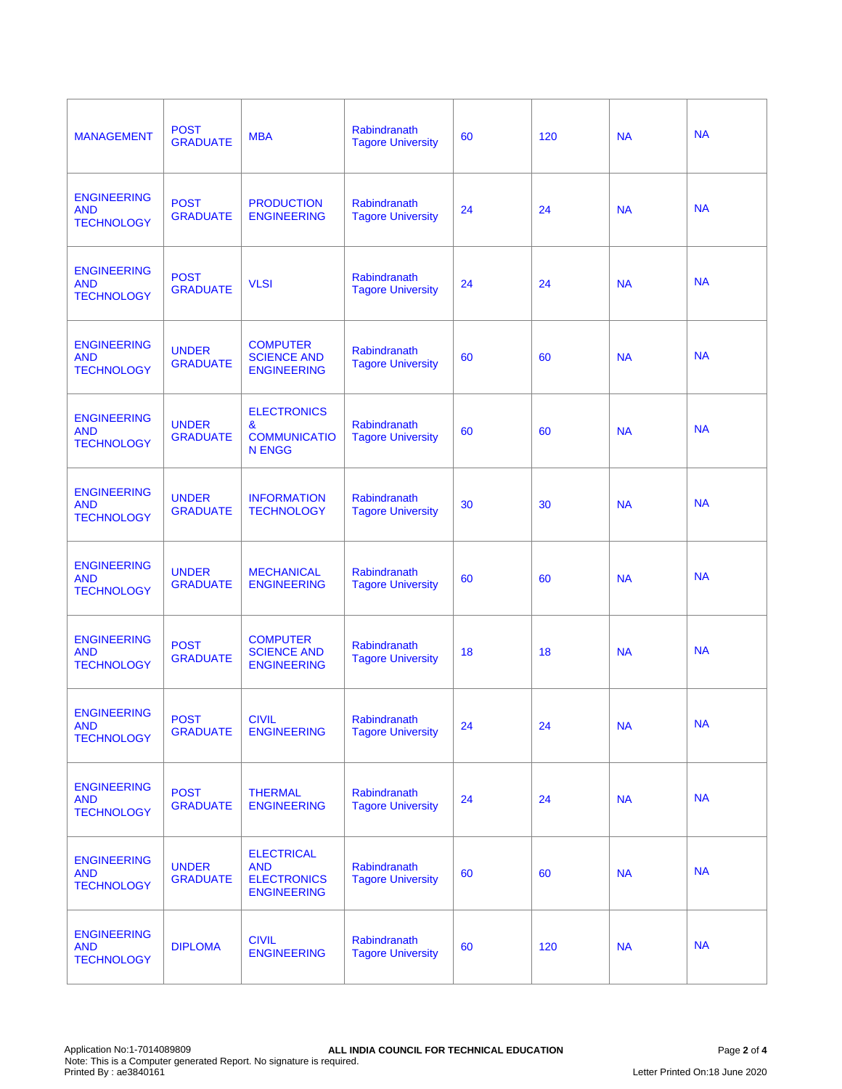| <b>MANAGEMENT</b>                                     | <b>POST</b><br><b>GRADUATE</b>  | <b>MBA</b>                                                                  | Rabindranath<br><b>Tagore University</b> | 60 | 120 | <b>NA</b> | <b>NA</b> |
|-------------------------------------------------------|---------------------------------|-----------------------------------------------------------------------------|------------------------------------------|----|-----|-----------|-----------|
| <b>ENGINEERING</b><br><b>AND</b><br><b>TECHNOLOGY</b> | <b>POST</b><br><b>GRADUATE</b>  | <b>PRODUCTION</b><br><b>ENGINEERING</b>                                     | Rabindranath<br><b>Tagore University</b> | 24 | 24  | <b>NA</b> | <b>NA</b> |
| <b>ENGINEERING</b><br><b>AND</b><br><b>TECHNOLOGY</b> | <b>POST</b><br><b>GRADUATE</b>  | <b>VLSI</b>                                                                 | Rabindranath<br><b>Tagore University</b> | 24 | 24  | <b>NA</b> | <b>NA</b> |
| <b>ENGINEERING</b><br><b>AND</b><br><b>TECHNOLOGY</b> | <b>UNDER</b><br><b>GRADUATE</b> | <b>COMPUTER</b><br><b>SCIENCE AND</b><br><b>ENGINEERING</b>                 | Rabindranath<br><b>Tagore University</b> | 60 | 60  | <b>NA</b> | <b>NA</b> |
| <b>ENGINEERING</b><br><b>AND</b><br><b>TECHNOLOGY</b> | <b>UNDER</b><br><b>GRADUATE</b> | <b>ELECTRONICS</b><br>&<br><b>COMMUNICATIO</b><br><b>N ENGG</b>             | Rabindranath<br><b>Tagore University</b> | 60 | 60  | <b>NA</b> | <b>NA</b> |
| <b>ENGINEERING</b><br><b>AND</b><br><b>TECHNOLOGY</b> | <b>UNDER</b><br><b>GRADUATE</b> | <b>INFORMATION</b><br><b>TECHNOLOGY</b>                                     | Rabindranath<br><b>Tagore University</b> | 30 | 30  | <b>NA</b> | <b>NA</b> |
| <b>ENGINEERING</b><br><b>AND</b><br><b>TECHNOLOGY</b> | <b>UNDER</b><br><b>GRADUATE</b> | <b>MECHANICAL</b><br><b>ENGINEERING</b>                                     | Rabindranath<br><b>Tagore University</b> | 60 | 60  | <b>NA</b> | <b>NA</b> |
| <b>ENGINEERING</b><br><b>AND</b><br><b>TECHNOLOGY</b> | <b>POST</b><br><b>GRADUATE</b>  | <b>COMPUTER</b><br><b>SCIENCE AND</b><br><b>ENGINEERING</b>                 | Rabindranath<br><b>Tagore University</b> | 18 | 18  | <b>NA</b> | <b>NA</b> |
| <b>ENGINEERING</b><br><b>AND</b><br><b>TECHNOLOGY</b> | <b>POST</b><br><b>GRADUATE</b>  | <b>CIVIL</b><br><b>ENGINEERING</b>                                          | Rabindranath<br><b>Tagore University</b> | 24 | 24  | <b>NA</b> | <b>NA</b> |
| <b>ENGINEERING</b><br><b>AND</b><br><b>TECHNOLOGY</b> | <b>POST</b><br><b>GRADUATE</b>  | <b>THERMAL</b><br><b>ENGINEERING</b>                                        | Rabindranath<br><b>Tagore University</b> | 24 | 24  | <b>NA</b> | <b>NA</b> |
| <b>ENGINEERING</b><br><b>AND</b><br><b>TECHNOLOGY</b> | <b>UNDER</b><br><b>GRADUATE</b> | <b>ELECTRICAL</b><br><b>AND</b><br><b>ELECTRONICS</b><br><b>ENGINEERING</b> | Rabindranath<br><b>Tagore University</b> | 60 | 60  | <b>NA</b> | <b>NA</b> |
| <b>ENGINEERING</b><br><b>AND</b><br><b>TECHNOLOGY</b> | <b>DIPLOMA</b>                  | <b>CIVIL</b><br><b>ENGINEERING</b>                                          | Rabindranath<br><b>Tagore University</b> | 60 | 120 | <b>NA</b> | <b>NA</b> |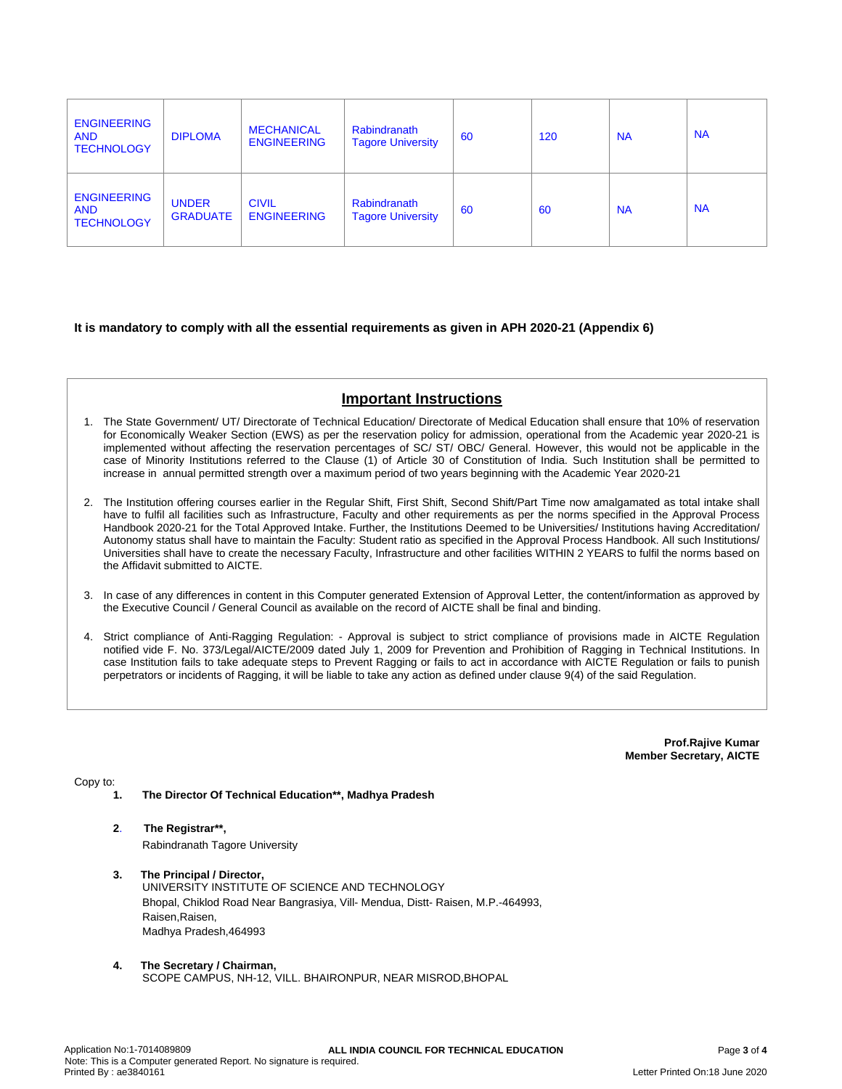| <b>ENGINEERING</b><br><b>AND</b><br><b>TECHNOLOGY</b> | <b>DIPLOMA</b>                  | <b>MECHANICAL</b><br><b>ENGINEERING</b> | <b>Rabindranath</b><br><b>Tagore University</b> | 60 | 120 | <b>NA</b> | <b>NA</b> |
|-------------------------------------------------------|---------------------------------|-----------------------------------------|-------------------------------------------------|----|-----|-----------|-----------|
| <b>ENGINEERING</b><br><b>AND</b><br><b>TECHNOLOGY</b> | <b>UNDER</b><br><b>GRADUATE</b> | <b>CIVIL</b><br><b>ENGINEERING</b>      | Rabindranath<br><b>Tagore University</b>        | 60 | 60  | <b>NA</b> | <b>NA</b> |

## **It is mandatory to comply with all the essential requirements as given in APH 2020-21 (Appendix 6)**

# **Important Instructions**

- 1. The State Government/ UT/ Directorate of Technical Education/ Directorate of Medical Education shall ensure that 10% of reservation for Economically Weaker Section (EWS) as per the reservation policy for admission, operational from the Academic year 2020-21 is implemented without affecting the reservation percentages of SC/ ST/ OBC/ General. However, this would not be applicable in the case of Minority Institutions referred to the Clause (1) of Article 30 of Constitution of India. Such Institution shall be permitted to increase in annual permitted strength over a maximum period of two years beginning with the Academic Year 2020-21
- 2. The Institution offering courses earlier in the Regular Shift, First Shift, Second Shift/Part Time now amalgamated as total intake shall have to fulfil all facilities such as Infrastructure, Faculty and other requirements as per the norms specified in the Approval Process Handbook 2020-21 for the Total Approved Intake. Further, the Institutions Deemed to be Universities/ Institutions having Accreditation/ Autonomy status shall have to maintain the Faculty: Student ratio as specified in the Approval Process Handbook. All such Institutions/ Universities shall have to create the necessary Faculty, Infrastructure and other facilities WITHIN 2 YEARS to fulfil the norms based on the Affidavit submitted to AICTE.
- 3. In case of any differences in content in this Computer generated Extension of Approval Letter, the content/information as approved by the Executive Council / General Council as available on the record of AICTE shall be final and binding.
- 4. Strict compliance of Anti-Ragging Regulation: Approval is subject to strict compliance of provisions made in AICTE Regulation notified vide F. No. 373/Legal/AICTE/2009 dated July 1, 2009 for Prevention and Prohibition of Ragging in Technical Institutions. In case Institution fails to take adequate steps to Prevent Ragging or fails to act in accordance with AICTE Regulation or fails to punish perpetrators or incidents of Ragging, it will be liable to take any action as defined under clause 9(4) of the said Regulation.

**Prof.Rajive Kumar Member Secretary, AICTE**

Copy to:

- **1. The Director Of Technical Education\*\*, Madhya Pradesh**
- **2**. **The Registrar\*\*,** Rabindranath Tagore University
- **3. The Principal / Director,** UNIVERSITY INSTITUTE OF SCIENCE AND TECHNOLOGY Bhopal, Chiklod Road Near Bangrasiya, Vill- Mendua, Distt- Raisen, M.P.-464993, Raisen,Raisen, Madhya Pradesh,464993
- **4. The Secretary / Chairman,** SCOPE CAMPUS, NH-12, VILL. BHAIRONPUR, NEAR MISROD,BHOPAL